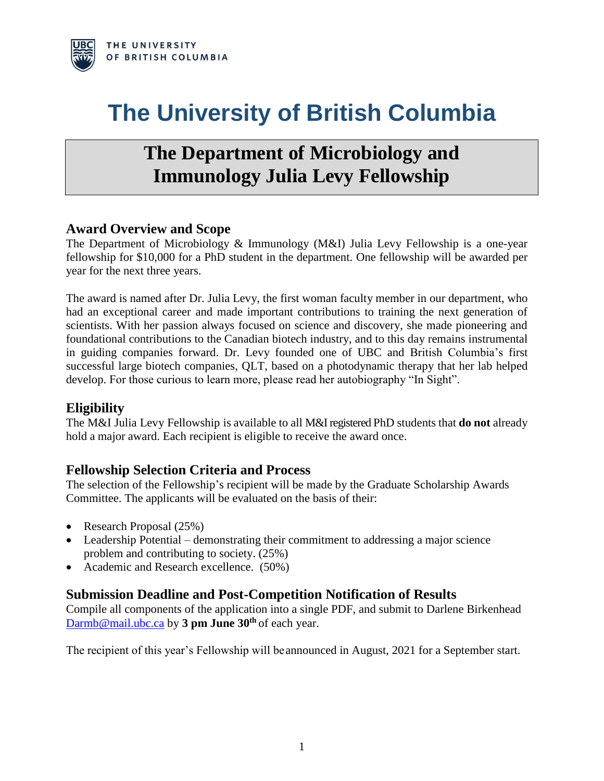

# **The University of British Columbia**

## **The Department of Microbiology and Immunology Julia Levy Fellowship**

#### **Award Overview and Scope**

The Department of Microbiology & Immunology (M&I) Julia Levy Fellowship is a one-year fellowship for \$10,000 for a PhD student in the department. One fellowship will be awarded per year for the next three years.

The award is named after Dr. Julia Levy, the first woman faculty member in our department, who had an exceptional career and made important contributions to training the next generation of scientists. With her passion always focused on science and discovery, she made pioneering and foundational contributions to the Canadian biotech industry, and to this day remains instrumental in guiding companies forward. Dr. Levy founded one of UBC and British Columbia's first successful large biotech companies, QLT, based on a photodynamic therapy that her lab helped develop. For those curious to learn more, please read her autobiography "In Sight".

#### **Eligibility**

The M&I Julia Levy Fellowship is available to all M&I registered PhD students that **do not** already hold a major award. Each recipient is eligible to receive the award once.

#### **Fellowship Selection Criteria and Process**

The selection of the Fellowship's recipient will be made by the Graduate Scholarship Awards Committee. The applicants will be evaluated on the basis of their:

- Research Proposal (25%)
- Leadership Potential demonstrating their commitment to addressing a major science problem and contributing to society. (25%)
- Academic and Research excellence. (50%)

#### **Submission Deadline and Post-Competition Notification of Results**

Compile all components of the application into a single PDF, and submit to Darlene Birkenhead [Darmb@mail.ubc.ca](mailto:Darmb@mail.ubc.ca) by **3 pm June 30th** of each year.

The recipient of this year's Fellowship will beannounced in August, 2021 for a September start.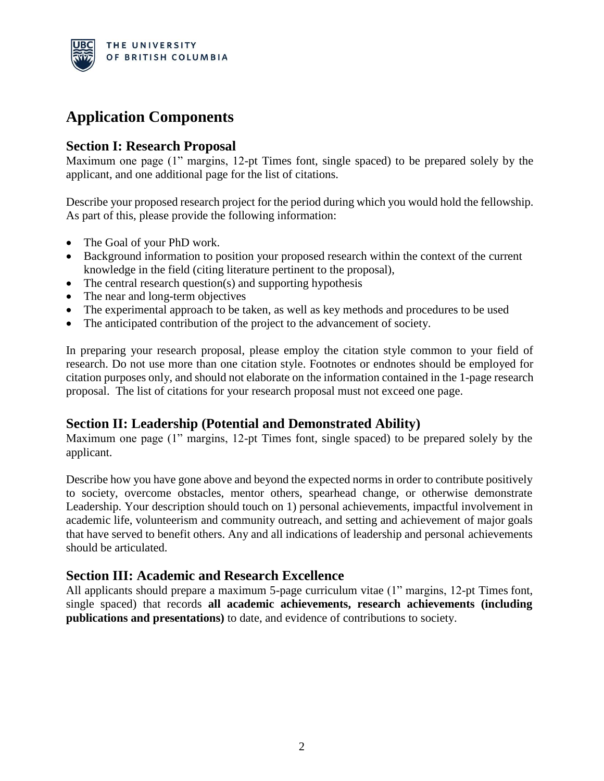

### **Application Components**

#### **Section I: Research Proposal**

Maximum one page (1" margins, 12-pt Times font, single spaced) to be prepared solely by the applicant, and one additional page for the list of citations.

Describe your proposed research project for the period during which you would hold the fellowship. As part of this, please provide the following information:

- The Goal of your PhD work.
- Background information to position your proposed research within the context of the current knowledge in the field (citing literature pertinent to the proposal),
- The central research question(s) and supporting hypothesis
- The near and long-term objectives
- The experimental approach to be taken, as well as key methods and procedures to be used
- The anticipated contribution of the project to the advancement of society.

In preparing your research proposal, please employ the citation style common to your field of research. Do not use more than one citation style. Footnotes or endnotes should be employed for citation purposes only, and should not elaborate on the information contained in the 1-page research proposal. The list of citations for your research proposal must not exceed one page.

#### **Section II: Leadership (Potential and Demonstrated Ability)**

Maximum one page (1" margins, 12-pt Times font, single spaced) to be prepared solely by the applicant.

Describe how you have gone above and beyond the expected norms in order to contribute positively to society, overcome obstacles, mentor others, spearhead change, or otherwise demonstrate Leadership. Your description should touch on 1) personal achievements, impactful involvement in academic life, volunteerism and community outreach, and setting and achievement of major goals that have served to benefit others. Any and all indications of leadership and personal achievements should be articulated.

#### **Section III: Academic and Research Excellence**

All applicants should prepare a maximum 5-page curriculum vitae (1" margins, 12-pt Times font, single spaced) that records **all academic achievements, research achievements (including publications and presentations)** to date, and evidence of contributions to society.